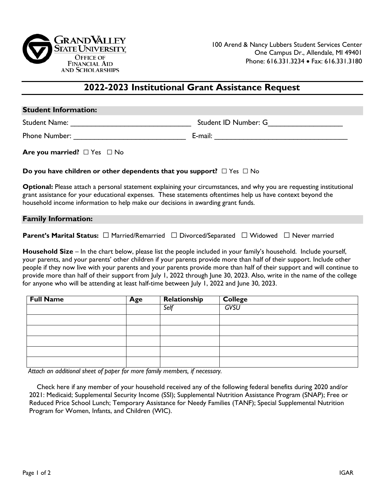

# **2022-2023 Institutional Grant Assistance Request**

| <b>Student Information:</b>                                                                                                                                                                                                                                                                                             |                                             |  |  |  |  |
|-------------------------------------------------------------------------------------------------------------------------------------------------------------------------------------------------------------------------------------------------------------------------------------------------------------------------|---------------------------------------------|--|--|--|--|
|                                                                                                                                                                                                                                                                                                                         | Student ID Number: G                        |  |  |  |  |
|                                                                                                                                                                                                                                                                                                                         | <b>E-mail:</b> <u>_____________________</u> |  |  |  |  |
| Are you married? $\Box$ Yes $\Box$ No                                                                                                                                                                                                                                                                                   |                                             |  |  |  |  |
| Do you have children or other dependents that you support? $\square$ Yes $\square$ No                                                                                                                                                                                                                                   |                                             |  |  |  |  |
| Optional: Please attach a personal statement explaining your circumstances, and why you are requesting institutional<br>grant assistance for your educational expenses. These statements oftentimes help us have context beyond the<br>household income information to help make our decisions in awarding grant funds. |                                             |  |  |  |  |
| <b>Family Information:</b>                                                                                                                                                                                                                                                                                              |                                             |  |  |  |  |
| <b>Parent's Marital Status:</b> $\Box$ Married/Remarried $\Box$ Divorced/Separated $\Box$ Widowed $\Box$ Never married                                                                                                                                                                                                  |                                             |  |  |  |  |

**Household Size** – In the chart below, please list the people included in your family's household. Include yourself, your parents, and your parents' other children if your parents provide more than half of their support. Include other people if they now live with your parents and your parents provide more than half of their support and will continue to provide more than half of their support from July 1, 2022 through June 30, 2023. Also, write in the name of the college for anyone who will be attending at least half-time between July 1, 2022 and June 30, 2023.

| <b>Full Name</b> | Age | Relationship | <b>College</b> |
|------------------|-----|--------------|----------------|
|                  |     | Self         | GVSU           |
|                  |     |              |                |
|                  |     |              |                |
|                  |     |              |                |
|                  |     |              |                |
|                  |     |              |                |

*Attach an additional sheet of paper for more family members, if necessary.* 

Check here if any member of your household received any of the following federal benefits during 2020 and/or 2021: Medicaid; Supplemental Security Income (SSI); Supplemental Nutrition Assistance Program (SNAP); Free or Reduced Price School Lunch; Temporary Assistance for Needy Families (TANF); Special Supplemental Nutrition Program for Women, Infants, and Children (WIC).